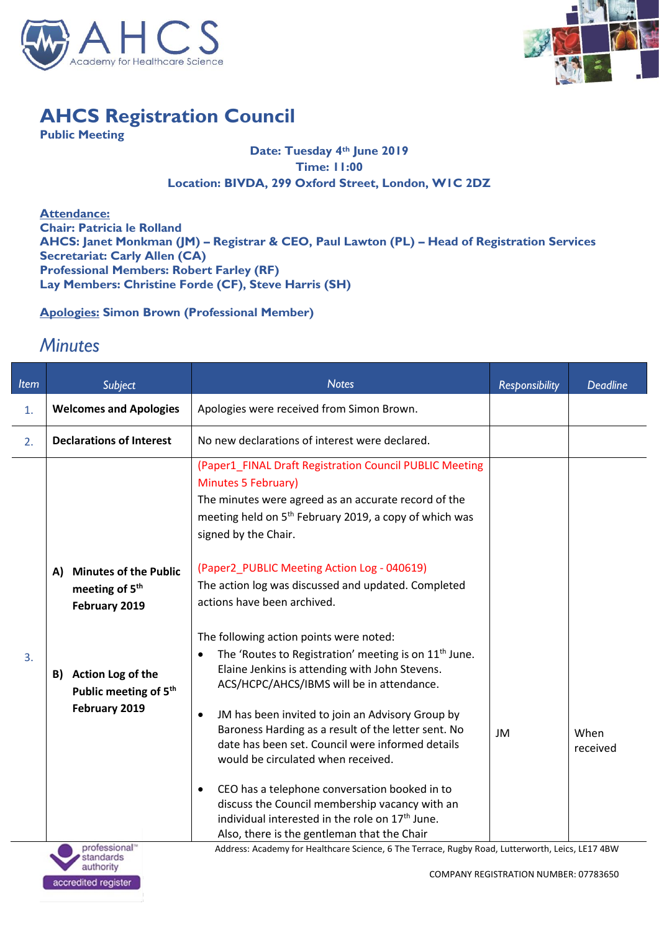



## **AHCS Registration Council**

**Public Meeting**

## **Date: Tuesday 4th June 2019 Time: 11:00 Location: BIVDA, 299 Oxford Street, London, W1C 2DZ**

**Attendance: Chair: Patricia le Rolland AHCS: Janet Monkman (JM) – Registrar & CEO, Paul Lawton (PL) – Head of Registration Services Secretariat: Carly Allen (CA) Professional Members: Robert Farley (RF) Lay Members: Christine Forde (CF), Steve Harris (SH)**

**Apologies: Simon Brown (Professional Member)** 

## *Minutes*

| <b>Item</b> | Subject                                                                                                    | <b>Notes</b>                                                                                                                                                                                                                                                                                                                                                                                                                                                                                                                                                                                                                                                | <b>Responsibility</b> | <b>Deadline</b>  |
|-------------|------------------------------------------------------------------------------------------------------------|-------------------------------------------------------------------------------------------------------------------------------------------------------------------------------------------------------------------------------------------------------------------------------------------------------------------------------------------------------------------------------------------------------------------------------------------------------------------------------------------------------------------------------------------------------------------------------------------------------------------------------------------------------------|-----------------------|------------------|
| 1.          | <b>Welcomes and Apologies</b>                                                                              | Apologies were received from Simon Brown.                                                                                                                                                                                                                                                                                                                                                                                                                                                                                                                                                                                                                   |                       |                  |
| 2.          | <b>Declarations of Interest</b>                                                                            | No new declarations of interest were declared.                                                                                                                                                                                                                                                                                                                                                                                                                                                                                                                                                                                                              |                       |                  |
|             |                                                                                                            | (Paper1_FINAL Draft Registration Council PUBLIC Meeting<br>Minutes 5 February)<br>The minutes were agreed as an accurate record of the<br>meeting held on 5 <sup>th</sup> February 2019, a copy of which was<br>signed by the Chair.                                                                                                                                                                                                                                                                                                                                                                                                                        |                       |                  |
|             | <b>Minutes of the Public</b><br>A)<br>meeting of 5 <sup>th</sup><br>February 2019                          | (Paper2_PUBLIC Meeting Action Log - 040619)<br>The action log was discussed and updated. Completed<br>actions have been archived.                                                                                                                                                                                                                                                                                                                                                                                                                                                                                                                           |                       |                  |
| 3.          | Action Log of the<br>B)<br>Public meeting of 5 <sup>th</sup><br>February 2019<br>professional <sup>®</sup> | The following action points were noted:<br>The 'Routes to Registration' meeting is on 11 <sup>th</sup> June.<br>Elaine Jenkins is attending with John Stevens.<br>ACS/HCPC/AHCS/IBMS will be in attendance.<br>JM has been invited to join an Advisory Group by<br>$\bullet$<br>Baroness Harding as a result of the letter sent. No<br>date has been set. Council were informed details<br>would be circulated when received.<br>CEO has a telephone conversation booked in to<br>$\bullet$<br>discuss the Council membership vacancy with an<br>individual interested in the role on 17 <sup>th</sup> June.<br>Also, there is the gentleman that the Chair | JM                    | When<br>received |

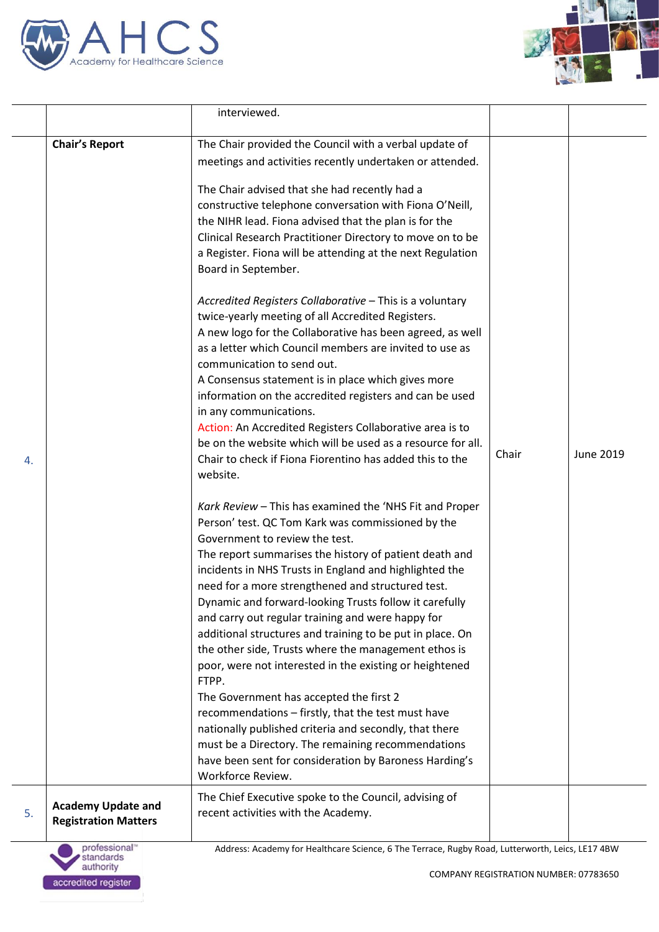



|    |                                                          | interviewed.                                                                                                                                                                                                                                                                                                                                                                                                                                                                                                                                                                                                                                                                                                                                                                                                                                                                                                                    |       |           |
|----|----------------------------------------------------------|---------------------------------------------------------------------------------------------------------------------------------------------------------------------------------------------------------------------------------------------------------------------------------------------------------------------------------------------------------------------------------------------------------------------------------------------------------------------------------------------------------------------------------------------------------------------------------------------------------------------------------------------------------------------------------------------------------------------------------------------------------------------------------------------------------------------------------------------------------------------------------------------------------------------------------|-------|-----------|
|    | <b>Chair's Report</b>                                    | The Chair provided the Council with a verbal update of                                                                                                                                                                                                                                                                                                                                                                                                                                                                                                                                                                                                                                                                                                                                                                                                                                                                          |       |           |
|    |                                                          | meetings and activities recently undertaken or attended.                                                                                                                                                                                                                                                                                                                                                                                                                                                                                                                                                                                                                                                                                                                                                                                                                                                                        |       |           |
|    |                                                          | The Chair advised that she had recently had a<br>constructive telephone conversation with Fiona O'Neill,<br>the NIHR lead. Fiona advised that the plan is for the<br>Clinical Research Practitioner Directory to move on to be<br>a Register. Fiona will be attending at the next Regulation<br>Board in September.<br>Accredited Registers Collaborative - This is a voluntary<br>twice-yearly meeting of all Accredited Registers.                                                                                                                                                                                                                                                                                                                                                                                                                                                                                            |       |           |
| 4. |                                                          | A new logo for the Collaborative has been agreed, as well<br>as a letter which Council members are invited to use as<br>communication to send out.<br>A Consensus statement is in place which gives more<br>information on the accredited registers and can be used<br>in any communications.<br>Action: An Accredited Registers Collaborative area is to<br>be on the website which will be used as a resource for all.<br>Chair to check if Fiona Fiorentino has added this to the<br>website.                                                                                                                                                                                                                                                                                                                                                                                                                                | Chair | June 2019 |
|    |                                                          | Kark Review - This has examined the 'NHS Fit and Proper<br>Person' test. QC Tom Kark was commissioned by the<br>Government to review the test.<br>The report summarises the history of patient death and<br>incidents in NHS Trusts in England and highlighted the<br>need for a more strengthened and structured test.<br>Dynamic and forward-looking Trusts follow it carefully<br>and carry out regular training and were happy for<br>additional structures and training to be put in place. On<br>the other side, Trusts where the management ethos is<br>poor, were not interested in the existing or heightened<br>FTPP.<br>The Government has accepted the first 2<br>recommendations - firstly, that the test must have<br>nationally published criteria and secondly, that there<br>must be a Directory. The remaining recommendations<br>have been sent for consideration by Baroness Harding's<br>Workforce Review. |       |           |
| 5. | <b>Academy Update and</b><br><b>Registration Matters</b> | The Chief Executive spoke to the Council, advising of<br>recent activities with the Academy.                                                                                                                                                                                                                                                                                                                                                                                                                                                                                                                                                                                                                                                                                                                                                                                                                                    |       |           |
|    | professional <sup>®</sup>                                | Address: Academy for Healthcare Science, 6 The Terrace, Rugby Road, Lutterworth, Leics, LE17 4BW                                                                                                                                                                                                                                                                                                                                                                                                                                                                                                                                                                                                                                                                                                                                                                                                                                |       |           |

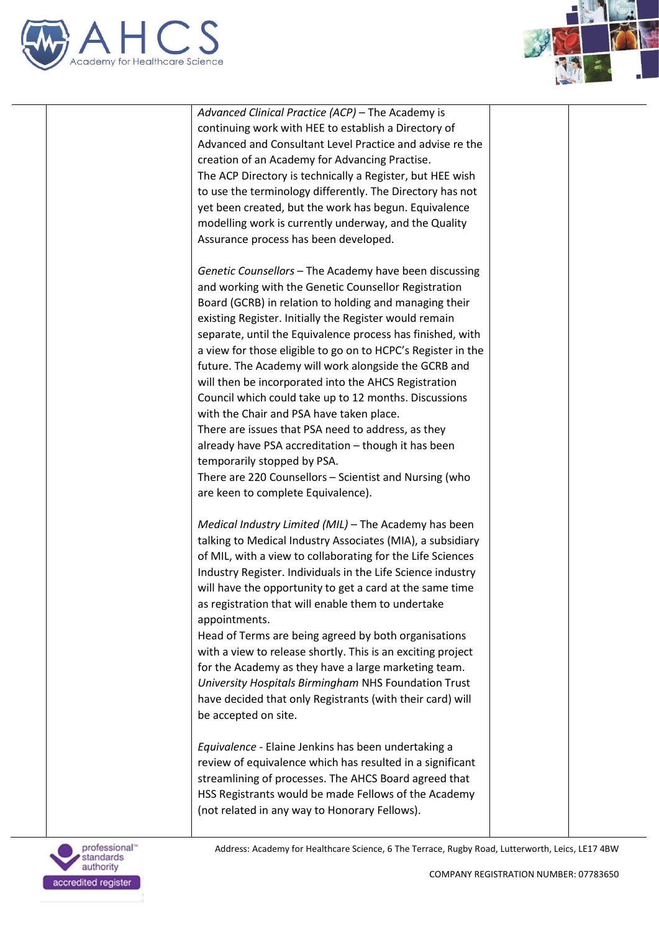





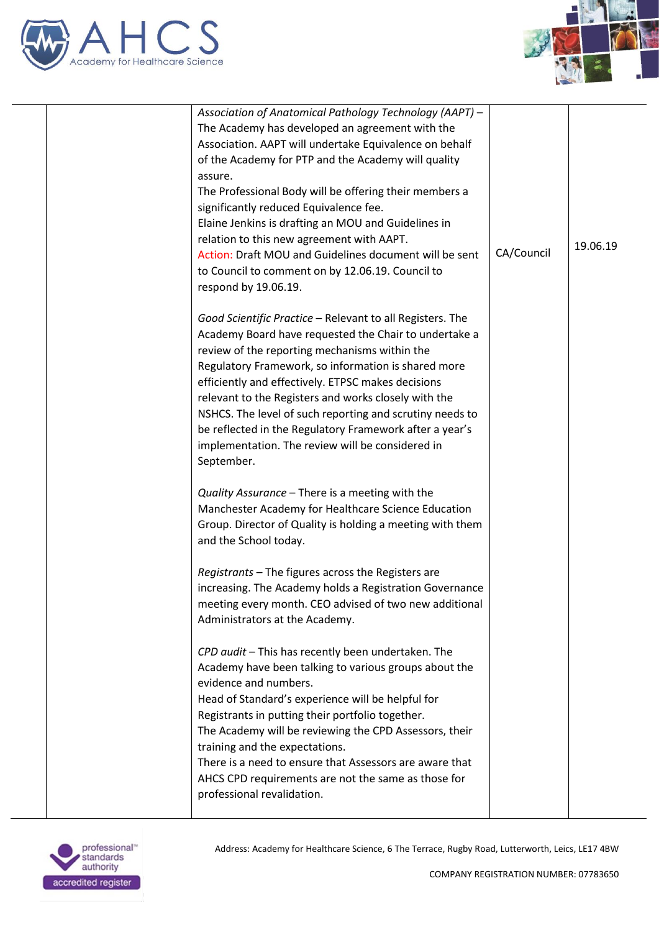



| Association of Anatomical Pathology Technology (AAPT) -<br>The Academy has developed an agreement with the<br>Association. AAPT will undertake Equivalence on behalf<br>of the Academy for PTP and the Academy will quality<br>assure.<br>The Professional Body will be offering their members a<br>significantly reduced Equivalence fee.<br>Elaine Jenkins is drafting an MOU and Guidelines in<br>relation to this new agreement with AAPT.<br>Action: Draft MOU and Guidelines document will be sent<br>to Council to comment on by 12.06.19. Council to<br>respond by 19.06.19. | CA/Council | 19.06.19 |
|--------------------------------------------------------------------------------------------------------------------------------------------------------------------------------------------------------------------------------------------------------------------------------------------------------------------------------------------------------------------------------------------------------------------------------------------------------------------------------------------------------------------------------------------------------------------------------------|------------|----------|
| Good Scientific Practice - Relevant to all Registers. The<br>Academy Board have requested the Chair to undertake a<br>review of the reporting mechanisms within the<br>Regulatory Framework, so information is shared more<br>efficiently and effectively. ETPSC makes decisions<br>relevant to the Registers and works closely with the<br>NSHCS. The level of such reporting and scrutiny needs to<br>be reflected in the Regulatory Framework after a year's<br>implementation. The review will be considered in<br>September.                                                    |            |          |
| Quality Assurance - There is a meeting with the<br>Manchester Academy for Healthcare Science Education<br>Group. Director of Quality is holding a meeting with them<br>and the School today.                                                                                                                                                                                                                                                                                                                                                                                         |            |          |
| Registrants - The figures across the Registers are<br>increasing. The Academy holds a Registration Governance<br>meeting every month. CEO advised of two new additional<br>Administrators at the Academy.                                                                                                                                                                                                                                                                                                                                                                            |            |          |
| CPD audit - This has recently been undertaken. The<br>Academy have been talking to various groups about the<br>evidence and numbers.<br>Head of Standard's experience will be helpful for<br>Registrants in putting their portfolio together.<br>The Academy will be reviewing the CPD Assessors, their<br>training and the expectations.<br>There is a need to ensure that Assessors are aware that<br>AHCS CPD requirements are not the same as those for<br>professional revalidation.                                                                                            |            |          |
|                                                                                                                                                                                                                                                                                                                                                                                                                                                                                                                                                                                      |            |          |

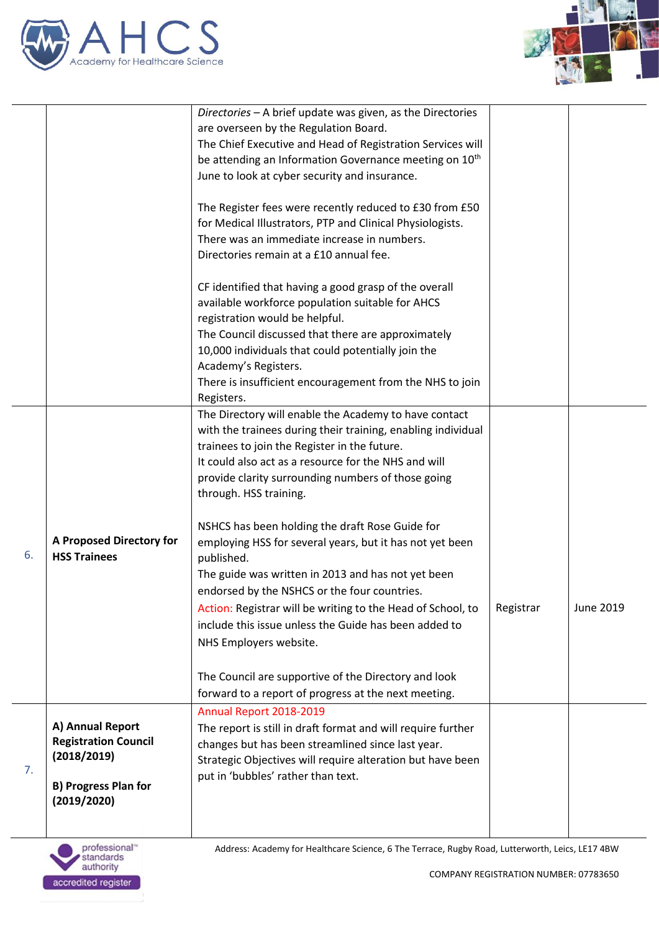



|    |                                            | Directories - A brief update was given, as the Directories             |           |                  |
|----|--------------------------------------------|------------------------------------------------------------------------|-----------|------------------|
|    |                                            | are overseen by the Regulation Board.                                  |           |                  |
|    |                                            | The Chief Executive and Head of Registration Services will             |           |                  |
|    |                                            | be attending an Information Governance meeting on 10 <sup>th</sup>     |           |                  |
|    |                                            | June to look at cyber security and insurance.                          |           |                  |
|    |                                            | The Register fees were recently reduced to £30 from £50                |           |                  |
|    |                                            | for Medical Illustrators, PTP and Clinical Physiologists.              |           |                  |
|    |                                            | There was an immediate increase in numbers.                            |           |                  |
|    |                                            | Directories remain at a £10 annual fee.                                |           |                  |
|    |                                            |                                                                        |           |                  |
|    |                                            | CF identified that having a good grasp of the overall                  |           |                  |
|    |                                            | available workforce population suitable for AHCS                       |           |                  |
|    |                                            | registration would be helpful.                                         |           |                  |
|    |                                            | The Council discussed that there are approximately                     |           |                  |
|    |                                            | 10,000 individuals that could potentially join the                     |           |                  |
|    |                                            | Academy's Registers.                                                   |           |                  |
|    |                                            | There is insufficient encouragement from the NHS to join               |           |                  |
|    |                                            | Registers.                                                             |           |                  |
|    |                                            | The Directory will enable the Academy to have contact                  |           |                  |
|    |                                            | with the trainees during their training, enabling individual           |           |                  |
|    |                                            | trainees to join the Register in the future.                           |           |                  |
|    |                                            | It could also act as a resource for the NHS and will                   |           |                  |
|    |                                            | provide clarity surrounding numbers of those going                     |           |                  |
|    |                                            | through. HSS training.                                                 |           |                  |
|    |                                            |                                                                        |           |                  |
|    | A Proposed Directory for                   | NSHCS has been holding the draft Rose Guide for                        |           |                  |
| 6. | <b>HSS Trainees</b>                        | employing HSS for several years, but it has not yet been<br>published. |           |                  |
|    |                                            | The guide was written in 2013 and has not yet been                     |           |                  |
|    |                                            | endorsed by the NSHCS or the four countries.                           |           |                  |
|    |                                            | Action: Registrar will be writing to the Head of School, to            | Registrar | <b>June 2019</b> |
|    |                                            | include this issue unless the Guide has been added to                  |           |                  |
|    |                                            | NHS Employers website.                                                 |           |                  |
|    |                                            |                                                                        |           |                  |
|    |                                            | The Council are supportive of the Directory and look                   |           |                  |
|    |                                            | forward to a report of progress at the next meeting.                   |           |                  |
| 7. |                                            | Annual Report 2018-2019                                                |           |                  |
|    | A) Annual Report                           | The report is still in draft format and will require further           |           |                  |
|    | <b>Registration Council</b><br>(2018/2019) | changes but has been streamlined since last year.                      |           |                  |
|    |                                            | Strategic Objectives will require alteration but have been             |           |                  |
|    | <b>B) Progress Plan for</b>                | put in 'bubbles' rather than text.                                     |           |                  |
|    | (2019/2020)                                |                                                                        |           |                  |
|    |                                            |                                                                        |           |                  |
|    |                                            |                                                                        |           |                  |